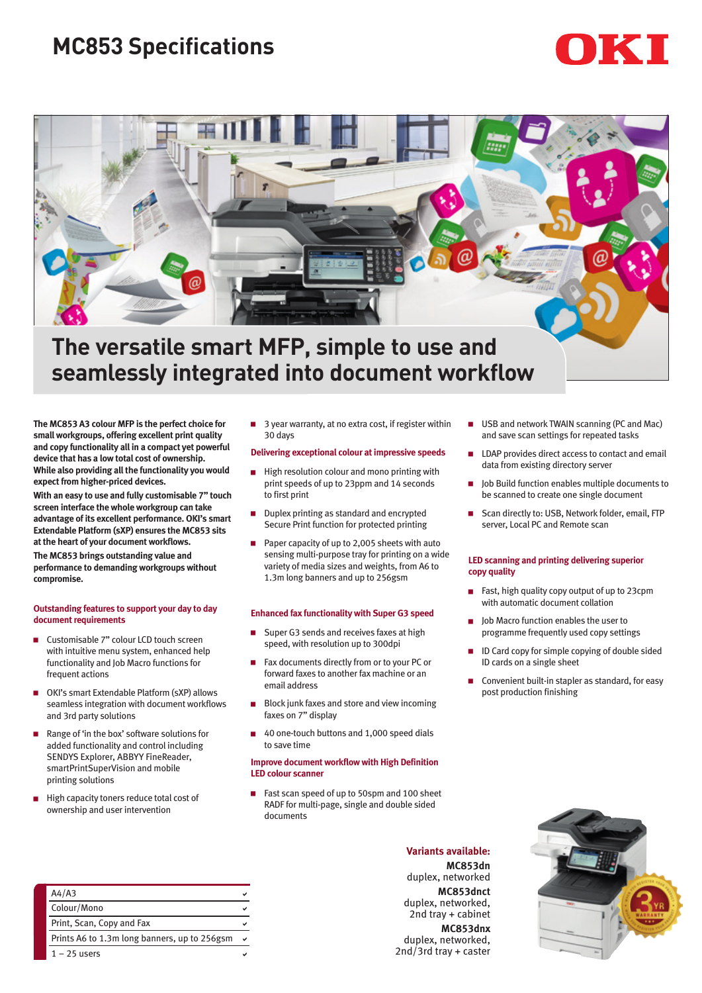## **MC853 Specifications**

# KII



## **The versatile smart MFP, simple to use and seamlessly integrated into document workflow**

**The MC853 A3 colour MFP is the perfect choice for small workgroups, offering excellent print quality and copy functionality all in a compact yet powerful device that has a low total cost of ownership. While also providing all the functionality you would expect from higher-priced devices.**

**With an easy to use and fully customisable 7" touch screen interface the whole workgroup can take advantage of its excellent performance. OKI's smart Extendable Platform (sXP) ensures the MC853 sits at the heart of your document workflows.**

**The MC853 brings outstanding value and performance to demanding workgroups without compromise.**

#### **Outstanding features to support your day to day document requirements**

- Customisable 7" colour LCD touch screen with intuitive menu system, enhanced help functionality and Job Macro functions for frequent actions
- OKI's smart Extendable Platform (sXP) allows seamless integration with document workflows and 3rd party solutions
- Range of 'in the box' software solutions for added functionality and control including SENDYS Explorer, ABBYY FineReader, smartPrintSuperVision and mobile printing solutions
- High capacity toners reduce total cost of ownership and user intervention

 $\Box$  3 year warranty, at no extra cost, if register within 30 days

#### **Delivering exceptional colour at impressive speeds**

- $\blacksquare$  High resolution colour and mono printing with print speeds of up to 23ppm and 14 seconds to first print
- Duplex printing as standard and encrypted Secure Print function for protected printing
- Paper capacity of up to 2,005 sheets with auto sensing multi-purpose tray for printing on a wide variety of media sizes and weights, from A6 to 1.3m long banners and up to 256gsm

#### **Enhanced fax functionality with Super G3 speed**

- Super G3 sends and receives faxes at high speed, with resolution up to 300dpi
- Fax documents directly from or to your PC or forward faxes to another fax machine or an email address
- $\blacksquare$  Block junk faxes and store and view incoming faxes on 7" display
- 40 one-touch buttons and 1,000 speed dials to save time

#### **Improve document workflow with High Definition LED colour scanner**

Fast scan speed of up to 50spm and 100 sheet RADF for multi-page, single and double sided documents

- USB and network TWAIN scanning (PC and Mac) and save scan settings for repeated tasks
- LDAP provides direct access to contact and email data from existing directory server
- Job Build function enables multiple documents to be scanned to create one single document
- Scan directly to: USB, Network folder, email, FTP server, Local PC and Remote scan

#### **LED scanning and printing delivering superior copy quality**

- Fast, high quality copy output of up to 23cpm with automatic document collation
- Job Macro function enables the user to programme frequently used copy settings
- ID Card copy for simple copying of double sided ID cards on a single sheet
- Convenient built-in stapler as standard, for easy post production finishing



| A4/A3                                        |  |
|----------------------------------------------|--|
| Colour/Mono                                  |  |
| Print, Scan, Copy and Fax                    |  |
| Prints A6 to 1.3m long banners, up to 256gsm |  |
| $1 - 25$ users                               |  |

**Variants available: MC853dn** duplex, networked **MC853dnct** duplex, networked, 2nd tray + cabinet **MC853dnx** duplex, networked, 2nd/3rd tray + caster